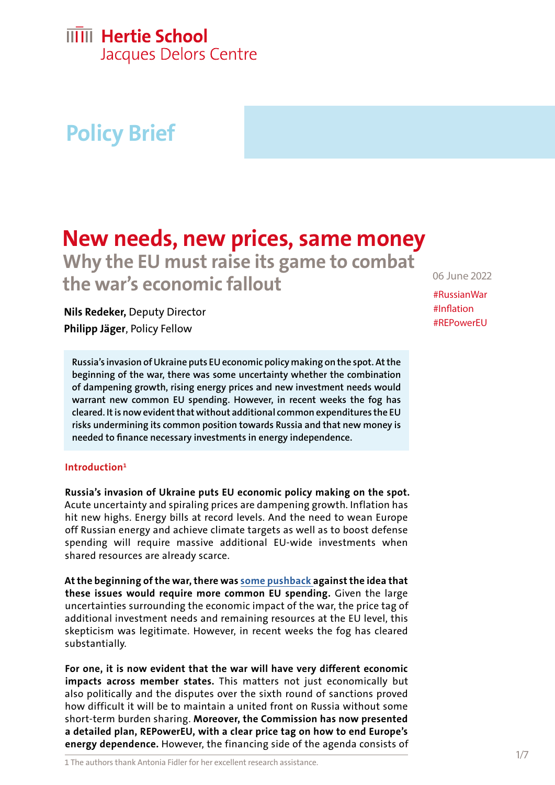## **IIIII** Hertie School

Jacques Delors Centre

# **Policy Brief**

## **New needs, new prices, same money Why the EU must raise its game to combat the war's economic fallout**

**Nils Redeker,** Deputy Director **Philipp Jäger**, Policy Fellow

**Russia's invasion of Ukraine puts EU economic policy making on the spot. At the beginning of the war, there was some uncertainty whether the combination of dampening growth, rising energy prices and new investment needs would warrant new common EU spending. However, in recent weeks the fog has cleared. It is now evident that without additional common expenditures the EU risks undermining its common position towards Russia and that new money is needed to finance necessary investments in energy independence.**

### **Introduction1**

**Russia's invasion of Ukraine puts EU economic policy making on the spot.** Acute uncertainty and spiraling prices are dampening growth. Inflation has hit new highs. Energy bills at record levels. And the need to wean Europe off Russian energy and achieve climate targets as well as to boost defense spending will require massive additional EU-wide investments when shared resources are already scarce.

**At the beginning of the war, there was [some pushback a](https://www.politico.eu/article/eu-ukraine-russia-war-economy-mario-draghi/)gainst the idea that these issues would require more common EU spending.** Given the large uncertainties surrounding the economic impact of the war, the price tag of additional investment needs and remaining resources at the EU level, this skepticism was legitimate. However, in recent weeks the fog has cleared substantially.

**For one, it is now evident that the war will have very different economic impacts across member states.** This matters not just economically but also politically and the disputes over the sixth round of sanctions proved how difficult it will be to maintain a united front on Russia without some short-term burden sharing. **Moreover, the Commission has now presented a detailed plan, REPowerEU, with a clear price tag on how to end Europe's energy dependence.** However, the financing side of the agenda consists of

1 The authors thank Antonia Fidler for her excellent research assistance.

06 June 2022

#RussianWar #Inflation #REPowerEU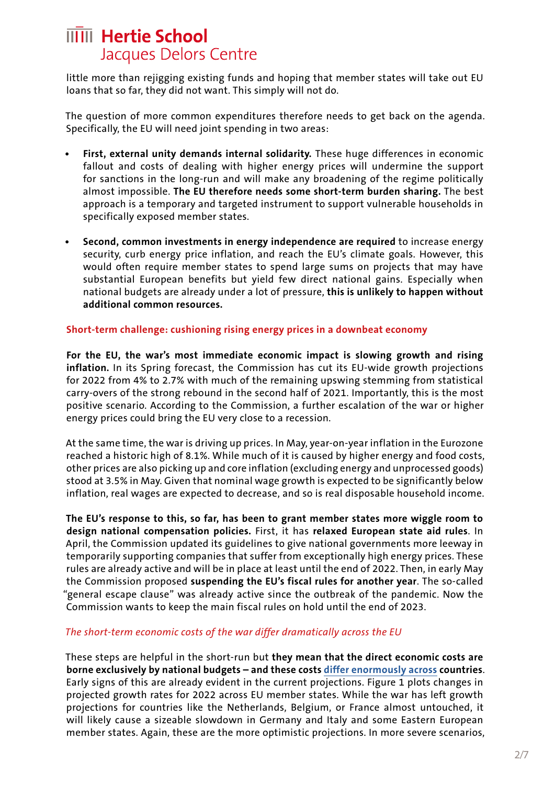little more than rejigging existing funds and hoping that member states will take out EU loans that so far, they did not want. This simply will not do.

The question of more common expenditures therefore needs to get back on the agenda. Specifically, the EU will need joint spending in two areas:

- **• First, external unity demands internal solidarity.** These huge differences in economic fallout and costs of dealing with higher energy prices will undermine the support for sanctions in the long-run and will make any broadening of the regime politically almost impossible. **The EU therefore needs some short-term burden sharing.** The best approach is a temporary and targeted instrument to support vulnerable households in specifically exposed member states.
- **• Second, common investments in energy independence are required** to increase energy security, curb energy price inflation, and reach the EU's climate goals. However, this would often require member states to spend large sums on projects that may have substantial European benefits but yield few direct national gains. Especially when national budgets are already under a lot of pressure, **this is unlikely to happen without additional common resources.**

#### **Short-term challenge: cushioning rising energy prices in a downbeat economy**

**For the EU, the war's most immediate economic impact is slowing growth and rising inflation.** In its Spring forecast, the Commission has cut its EU-wide growth projections for 2022 from 4% to 2.7% with much of the remaining upswing stemming from statistical carry-overs of the strong rebound in the second half of 2021. Importantly, this is the most positive scenario. According to the Commission, a further escalation of the war or higher energy prices could bring the EU very close to a recession.

At the same time, the war is driving up prices. In May, year-on-year inflation in the Eurozone reached a historic high of 8.1%. While much of it is caused by higher energy and food costs, other prices are also picking up and core inflation (excluding energy and unprocessed goods) stood at 3.5% in May. Given that nominal wage growth is expected to be significantly below inflation, real wages are expected to decrease, and so is real disposable household income.

**The EU's response to this, so far, has been to grant member states more wiggle room to design national compensation policies.** First, it has **relaxed European state aid rules**. In April, the Commission updated its guidelines to give national governments more leeway in temporarily supporting companies that suffer from exceptionally high energy prices. These rules are already active and will be in place at least until the end of 2022. Then, in early May the Commission proposed **suspending the EU's fiscal rules for another year**. The so-called "general escape clause" was already active since the outbreak of the pandemic. Now the Commission wants to keep the main fiscal rules on hold until the end of 2023.

### *The short-term economic costs of the war differ dramatically across the EU*

These steps are helpful in the short-run but **they mean that the direct economic costs are borne exclusively by national budgets – and these costs [differ enormously across](https://www.delorscentre.eu/en/publications/economic-consequences-ukraine) countries**. Early signs of this are already evident in the current projections. Figure 1 plots changes in projected growth rates for 2022 across EU member states. While the war has left growth projections for countries like the Netherlands, Belgium, or France almost untouched, it will likely cause a sizeable slowdown in Germany and Italy and some Eastern European member states. Again, these are the more optimistic projections. In more severe scenarios,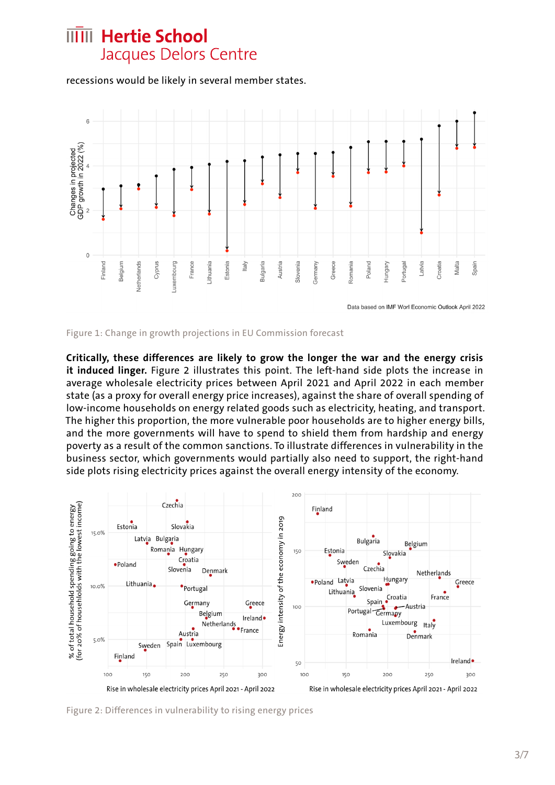recessions would be likely in several member states.



Figure 1: Change in growth projections in EU Commission forecast

**Critically, these differences are likely to grow the longer the war and the energy crisis it induced linger.** Figure 2 illustrates this point. The left-hand side plots the increase in average wholesale electricity prices between April 2021 and April 2022 in each member state (as a proxy for overall energy price increases), against the share of overall spending of low-income households on energy related goods such as electricity, heating, and transport. The higher this proportion, the more vulnerable poor households are to higher energy bills, and the more governments will have to spend to shield them from hardship and energy poverty as a result of the common sanctions. To illustrate differences in vulnerability in the business sector, which governments would partially also need to support, the right-hand side plots rising electricity prices against the overall energy intensity of the economy.



Figure 2: Differences in vulnerability to rising energy prices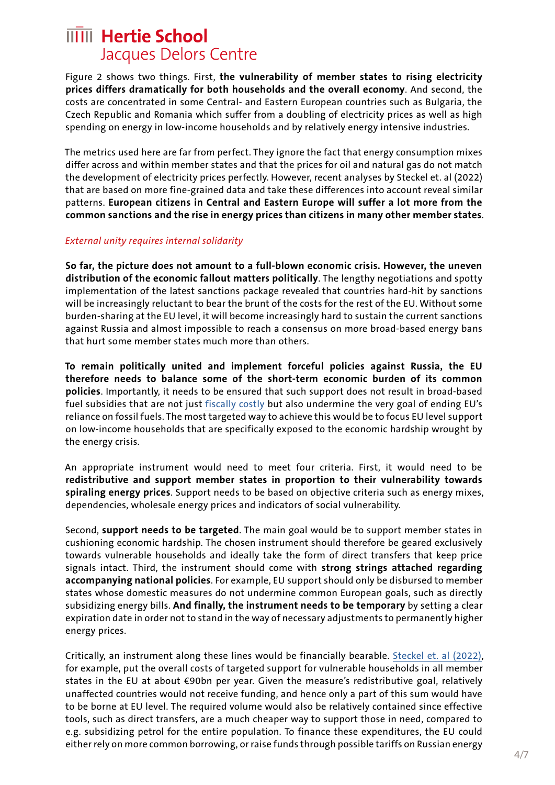Figure 2 shows two things. First, **the vulnerability of member states to rising electricity prices differs dramatically for both households and the overall economy**. And second, the costs are concentrated in some Central- and Eastern European countries such as Bulgaria, the Czech Republic and Romania which suffer from a doubling of electricity prices as well as high spending on energy in low-income households and by relatively energy intensive industries.

The metrics used here are far from perfect. They ignore the fact that energy consumption mixes differ across and within member states and that the prices for oil and natural gas do not match the development of electricity prices perfectly. However, recent analyses by Steckel et. al (2022) that are based on more fine-grained data and take these differences into account reveal similar patterns. **European citizens in Central and Eastern Europe will suffer a lot more from the common sanctions and the rise in energy prices than citizens in many other member states**.

#### *External unity requires internal solidarity*

**So far, the picture does not amount to a full-blown economic crisis. However, the uneven distribution of the economic fallout matters politically**. The lengthy negotiations and spotty implementation of the latest sanctions package revealed that countries hard-hit by sanctions will be increasingly reluctant to bear the brunt of the costs for the rest of the EU. Without some burden-sharing at the EU level, it will become increasingly hard to sustain the current sanctions against Russia and almost impossible to reach a consensus on more broad-based energy bans that hurt some member states much more than others.

**To remain politically united and implement forceful policies against Russia, the EU therefore needs to balance some of the short-term economic burden of its common policies**. Importantly, it needs to be ensured that such support does not result in broad-based fuel subsidies that are not just [fiscally costly b](https://www.bruegel.org/publications/datasets/national-policies-to-shield-consumers-from-rising-energy-prices/)ut also undermine the very goal of ending EU's reliance on fossil fuels. The most targeted way to achieve this would be to focus EU level support on low-income households that are specifically exposed to the economic hardship wrought by the energy crisis.

An appropriate instrument would need to meet four criteria. First, it would need to be **redistributive and support member states in proportion to their vulnerability towards spiraling energy prices**. Support needs to be based on objective criteria such as energy mixes, dependencies, wholesale energy prices and indicators of social vulnerability.

Second, **support needs to be targeted**. The main goal would be to support member states in cushioning economic hardship. The chosen instrument should therefore be geared exclusively towards vulnerable households and ideally take the form of direct transfers that keep price signals intact. Third, the instrument should come with **strong strings attached regarding accompanying national policies**. For example, EU support should only be disbursed to member states whose domestic measures do not undermine common European goals, such as directly subsidizing energy bills. **And finally, the instrument needs to be temporary** by setting a clear expiration date in order not to stand in the way of necessary adjustments to permanently higher energy prices.

Critically, an instrument along these lines would be financially bearable. [Steckel et. al \(2022\),](https://www.mcc-berlin.net/en/news/information/information-detail/article/energy-price-crisis-possible-embargo-how-the-eu-can-manage-social-compensation.html) for example, put the overall costs of targeted support for vulnerable households in all member states in the EU at about €90bn per year. Given the measure's redistributive goal, relatively unaffected countries would not receive funding, and hence only a part of this sum would have to be borne at EU level. The required volume would also be relatively contained since effective tools, such as direct transfers, are a much cheaper way to support those in need, compared to e.g. subsidizing petrol for the entire population. To finance these expenditures, the EU could either rely on more common borrowing, or raise funds through possible tariffs on Russian energy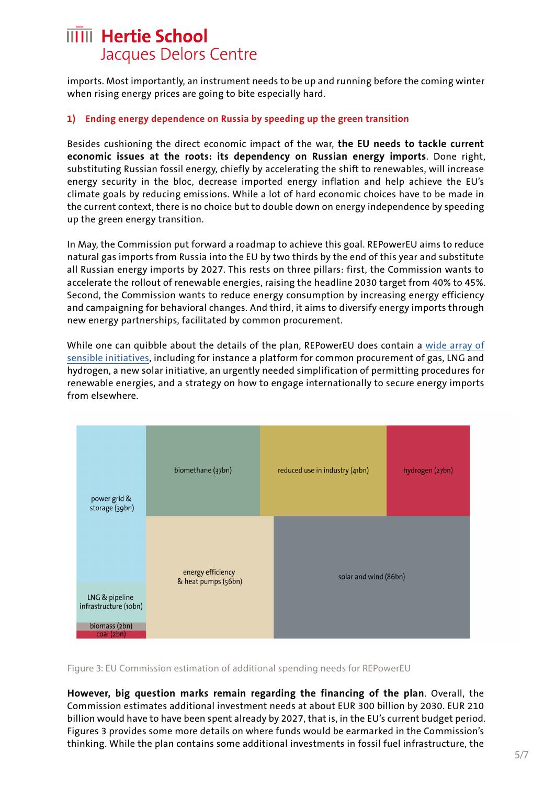imports. Most importantly, an instrument needs to be up and running before the coming winter when rising energy prices are going to bite especially hard.

#### **1) Ending energy dependence on Russia by speeding up the green transition**

Besides cushioning the direct economic impact of the war, **the EU needs to tackle current economic issues at the roots: its dependency on Russian energy imports**. Done right, substituting Russian fossil energy, chiefly by accelerating the shift to renewables, will increase energy security in the bloc, decrease imported energy inflation and help achieve the EU's climate goals by reducing emissions. While a lot of hard economic choices have to be made in the current context, there is no choice but to double down on energy independence by speeding up the green energy transition.

In May, the Commission put forward a roadmap to achieve this goal. REPowerEU aims to reduce natural gas imports from Russia into the EU by two thirds by the end of this year and substitute all Russian energy imports by 2027. This rests on three pillars: first, the Commission wants to accelerate the rollout of renewable energies, raising the headline 2030 target from 40% to 45%. Second, the Commission wants to reduce energy consumption by increasing energy efficiency and campaigning for behavioral changes. And third, it aims to diversify energy imports through new energy partnerships, facilitated by common procurement.

While one can quibble about the details of the plan, REPowerEU does contain a [wide array of](https://ec.europa.eu/commission/presscorner/detail/en/FS_22_3133)  [sensible initiatives](https://ec.europa.eu/commission/presscorner/detail/en/FS_22_3133), including for instance a platform for common procurement of gas, LNG and hydrogen, a new solar initiative, an urgently needed simplification of permitting procedures for renewable energies, and a strategy on how to engage internationally to secure energy imports from elsewhere.



Figure 3: EU Commission estimation of additional spending needs for REPowerEU

**However, big question marks remain regarding the financing of the plan**. Overall, the Commission estimates additional investment needs at about EUR 300 billion by 2030. EUR 210 billion would have to have been spent already by 2027, that is, in the EU's current budget period. Figures 3 provides some more details on where funds would be earmarked in the Commission's thinking. While the plan contains some additional investments in fossil fuel infrastructure, the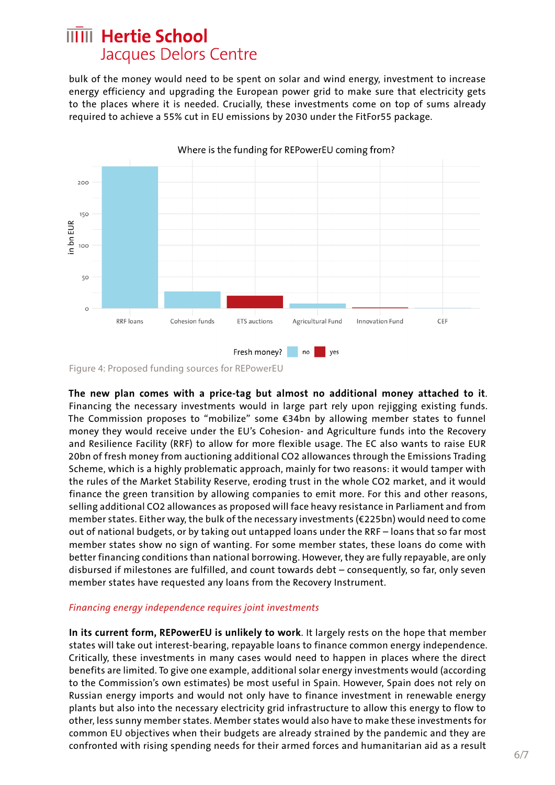bulk of the money would need to be spent on solar and wind energy, investment to increase energy efficiency and upgrading the European power grid to make sure that electricity gets to the places where it is needed. Crucially, these investments come on top of sums already required to achieve a 55% cut in EU emissions by 2030 under the FitFor55 package.



Figure 4: Proposed funding sources for REPowerEU

**The new plan comes with a price-tag but almost no additional money attached to it**. Financing the necessary investments would in large part rely upon rejigging existing funds. The Commission proposes to "mobilize" some €34bn by allowing member states to funnel money they would receive under the EU's Cohesion- and Agriculture funds into the Recovery and Resilience Facility (RRF) to allow for more flexible usage. The EC also wants to raise EUR 20bn of fresh money from auctioning additional CO2 allowances through the Emissions Trading Scheme, which is a highly problematic approach, mainly for two reasons: it would tamper with the rules of the Market Stability Reserve, eroding trust in the whole CO2 market, and it would finance the green transition by allowing companies to emit more. For this and other reasons, selling additional CO2 allowances as proposed will face heavy resistance in Parliament and from member states. Either way, the bulk of the necessary investments (€225bn) would need to come out of national budgets, or by taking out untapped loans under the RRF – loans that so far most member states show no sign of wanting. For some member states, these loans do come with better financing conditions than national borrowing. However, they are fully repayable, are only disbursed if milestones are fulfilled, and count towards debt – consequently, so far, only seven member states have requested any loans from the Recovery Instrument.

#### *Financing energy independence requires joint investments*

**In its current form, REPowerEU is unlikely to work**. It largely rests on the hope that member states will take out interest-bearing, repayable loans to finance common energy independence. Critically, these investments in many cases would need to happen in places where the direct benefits are limited. To give one example, additional solar energy investments would (according to the Commission's own estimates) be most useful in Spain. However, Spain does not rely on Russian energy imports and would not only have to finance investment in renewable energy plants but also into the necessary electricity grid infrastructure to allow this energy to flow to other, less sunny member states. Member states would also have to make these investments for common EU objectives when their budgets are already strained by the pandemic and they are confronted with rising spending needs for their armed forces and humanitarian aid as a result